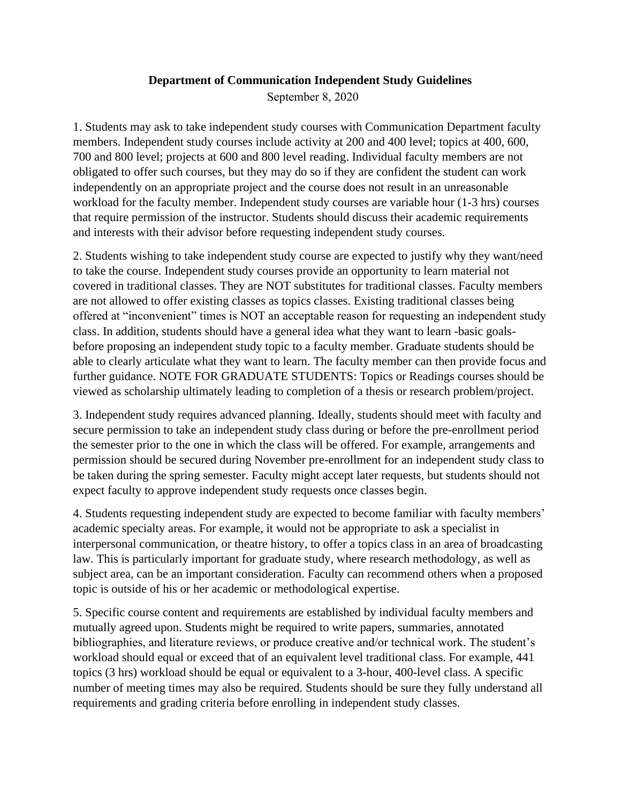## **Department of Communication Independent Study Guidelines**

September 8, 2020

1. Students may ask to take independent study courses with Communication Department faculty members. Independent study courses include activity at 200 and 400 level; topics at 400, 600, 700 and 800 level; projects at 600 and 800 level reading. Individual faculty members are not obligated to offer such courses, but they may do so if they are confident the student can work independently on an appropriate project and the course does not result in an unreasonable workload for the faculty member. Independent study courses are variable hour (1-3 hrs) courses that require permission of the instructor. Students should discuss their academic requirements and interests with their advisor before requesting independent study courses.

2. Students wishing to take independent study course are expected to justify why they want/need to take the course. Independent study courses provide an opportunity to learn material not covered in traditional classes. They are NOT substitutes for traditional classes. Faculty members are not allowed to offer existing classes as topics classes. Existing traditional classes being offered at "inconvenient" times is NOT an acceptable reason for requesting an independent study class. In addition, students should have a general idea what they want to learn -basic goalsbefore proposing an independent study topic to a faculty member. Graduate students should be able to clearly articulate what they want to learn. The faculty member can then provide focus and further guidance. NOTE FOR GRADUATE STUDENTS: Topics or Readings courses should be viewed as scholarship ultimately leading to completion of a thesis or research problem/project.

3. Independent study requires advanced planning. Ideally, students should meet with faculty and secure permission to take an independent study class during or before the pre-enrollment period the semester prior to the one in which the class will be offered. For example, arrangements and permission should be secured during November pre-enrollment for an independent study class to be taken during the spring semester. Faculty might accept later requests, but students should not expect faculty to approve independent study requests once classes begin.

4. Students requesting independent study are expected to become familiar with faculty members' academic specialty areas. For example, it would not be appropriate to ask a specialist in interpersonal communication, or theatre history, to offer a topics class in an area of broadcasting law. This is particularly important for graduate study, where research methodology, as well as subject area, can be an important consideration. Faculty can recommend others when a proposed topic is outside of his or her academic or methodological expertise.

5. Specific course content and requirements are established by individual faculty members and mutually agreed upon. Students might be required to write papers, summaries, annotated bibliographies, and literature reviews, or produce creative and/or technical work. The student's workload should equal or exceed that of an equivalent level traditional class. For example, 441 topics (3 hrs) workload should be equal or equivalent to a 3-hour, 400-level class. A specific number of meeting times may also be required. Students should be sure they fully understand all requirements and grading criteria before enrolling in independent study classes.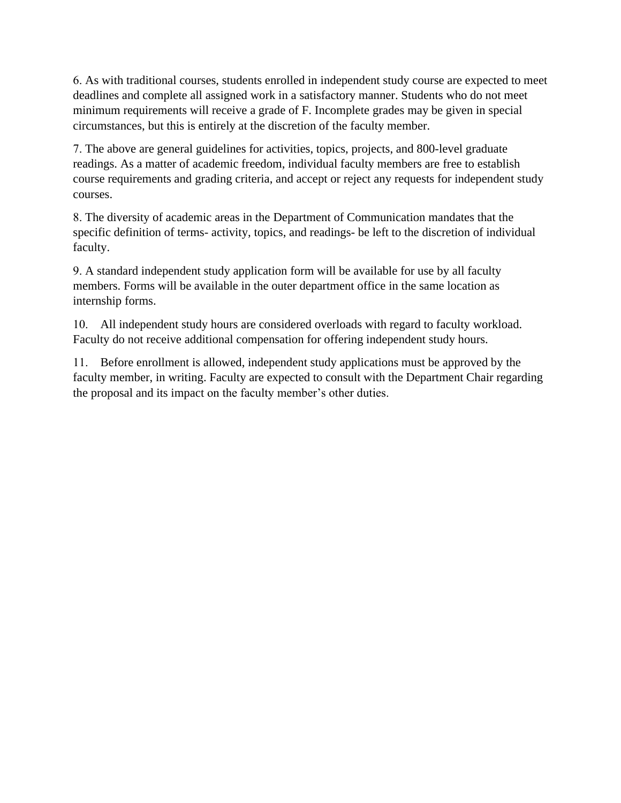6. As with traditional courses, students enrolled in independent study course are expected to meet deadlines and complete all assigned work in a satisfactory manner. Students who do not meet minimum requirements will receive a grade of F. Incomplete grades may be given in special circumstances, but this is entirely at the discretion of the faculty member.

7. The above are general guidelines for activities, topics, projects, and 800-level graduate readings. As a matter of academic freedom, individual faculty members are free to establish course requirements and grading criteria, and accept or reject any requests for independent study courses.

8. The diversity of academic areas in the Department of Communication mandates that the specific definition of terms- activity, topics, and readings- be left to the discretion of individual faculty.

9. A standard independent study application form will be available for use by all faculty members. Forms will be available in the outer department office in the same location as internship forms.

10. All independent study hours are considered overloads with regard to faculty workload. Faculty do not receive additional compensation for offering independent study hours.

11. Before enrollment is allowed, independent study applications must be approved by the faculty member, in writing. Faculty are expected to consult with the Department Chair regarding the proposal and its impact on the faculty member's other duties.